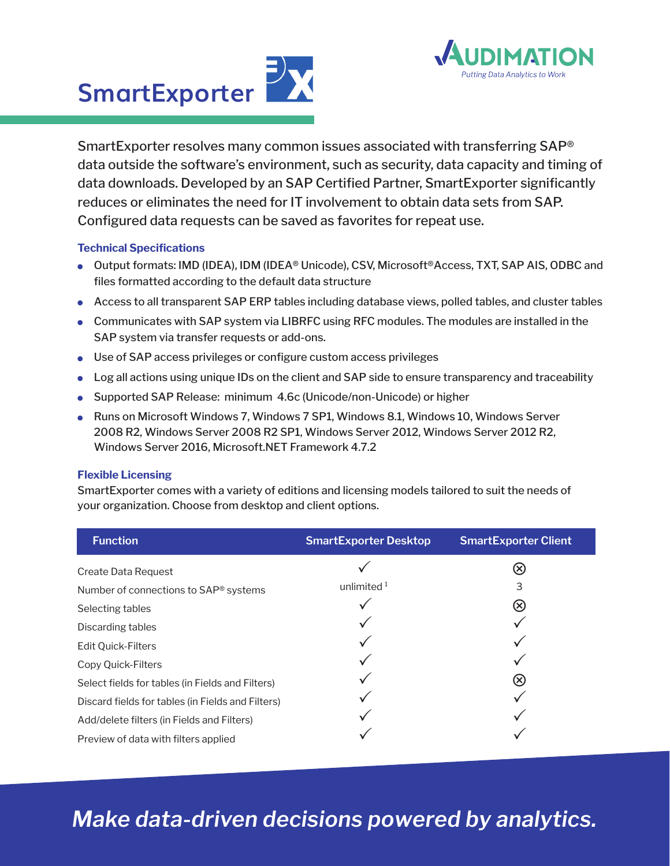



SmartExporter resolves many common issues associated with transferring SAP® data outside the software's environment, such as security, data capacity and timing of data downloads. Developed by an SAP Certified Partner, SmartExporter significantly reduces or eliminates the need for IT involvement to obtain data sets from SAP. Configured data requests can be saved as favorites for repeat use.

## **Technical Specifications**

- Output formats: IMD (IDEA), IDM (IDEA® Unicode), CSV, Microsoft®Access, TXT, SAP AIS, ODBC and files formatted according to the default data structure
- Access to all transparent SAP ERP tables including database views, polled tables, and cluster tables
- Communicates with SAP system via LIBRFC using RFC modules. The modules are installed in the SAP system via transfer requests or add-ons.
- Use of SAP access privileges or configure custom access privileges
- Log all actions using unique IDs on the client and SAP side to ensure transparency and traceability
- Supported SAP Release: minimum 4.6c (Unicode/non-Unicode) or higher
- Runs on Microsoft Windows 7, Windows 7 SP1, Windows 8.1, Windows 10, Windows Server 2008 R2, Windows Server 2008 R2 SP1, Windows Server 2012, Windows Server 2012 R2, Windows Server 2016, Microsoft.NET Framework 4.7.2

## **Flexible Licensing**

SmartExporter comes with a variety of editions and licensing models tailored to suit the needs of your organization. Choose from desktop and client options.

| <b>Function</b>                                   | <b>SmartExporter Desktop</b> | <b>SmartExporter Client</b> |
|---------------------------------------------------|------------------------------|-----------------------------|
| Create Data Request                               |                              |                             |
| Number of connections to SAP® systems             | unlimited $1$                | 3                           |
| Selecting tables                                  |                              | $\circledR$                 |
| Discarding tables                                 |                              |                             |
| <b>Edit Quick-Filters</b>                         |                              |                             |
| Copy Quick-Filters                                |                              |                             |
| Select fields for tables (in Fields and Filters)  |                              | $\circledR$                 |
| Discard fields for tables (in Fields and Filters) |                              |                             |
| Add/delete filters (in Fields and Filters)        |                              |                             |
| Preview of data with filters applied              |                              |                             |

## *Make data-driven decisions powered by analytics.*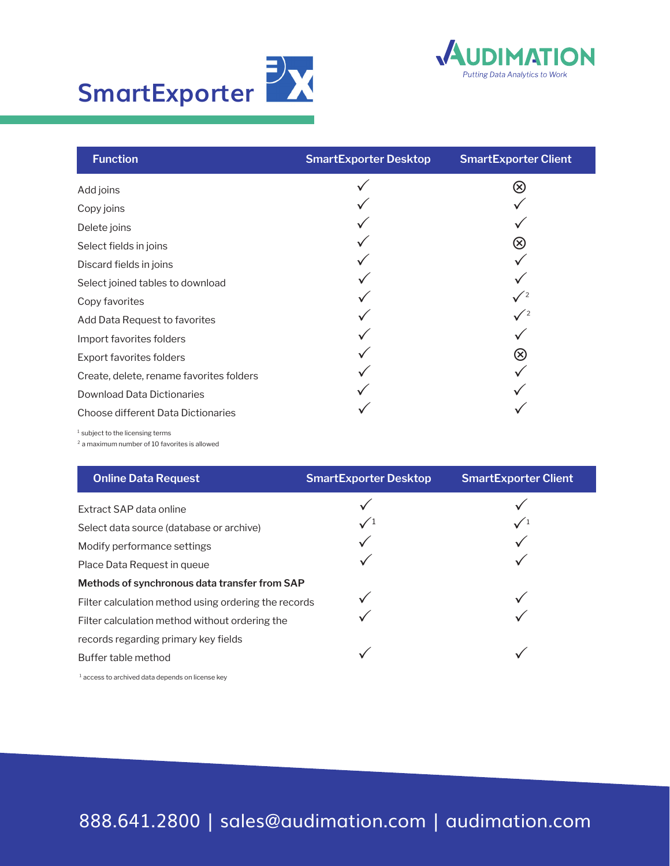



| <b>Function</b>                          | <b>SmartExporter Desktop</b> | <b>SmartExporter Client</b>  |
|------------------------------------------|------------------------------|------------------------------|
| Add joins                                |                              | $\left( \!\! \infty \right)$ |
| Copy joins                               |                              |                              |
| Delete joins                             |                              |                              |
| Select fields in joins                   |                              | $\left( \infty \right)$      |
| Discard fields in joins                  |                              |                              |
| Select joined tables to download         |                              |                              |
| Copy favorites                           |                              |                              |
| Add Data Request to favorites            |                              |                              |
| Import favorites folders                 |                              |                              |
| Export favorites folders                 |                              | $\otimes$                    |
| Create, delete, rename favorites folders |                              |                              |
| <b>Download Data Dictionaries</b>        |                              |                              |
| Choose different Data Dictionaries       |                              |                              |

 $1$  subject to the licensing terms

² a maximum number of 10 favorites is allowed

| <b>Online Data Request</b>                           | <b>SmartExporter Desktop</b> | <b>SmartExporter Client</b> |
|------------------------------------------------------|------------------------------|-----------------------------|
| Extract SAP data online                              |                              |                             |
| Select data source (database or archive)             |                              |                             |
| Modify performance settings                          |                              |                             |
| Place Data Request in queue                          |                              |                             |
| Methods of synchronous data transfer from SAP        |                              |                             |
| Filter calculation method using ordering the records |                              |                             |
| Filter calculation method without ordering the       |                              |                             |
| records regarding primary key fields                 |                              |                             |
| Buffer table method                                  |                              |                             |
|                                                      |                              |                             |

 $1$  access to archived data depends on license key

888.641.2800 | sales@audimation.com | audimation.com